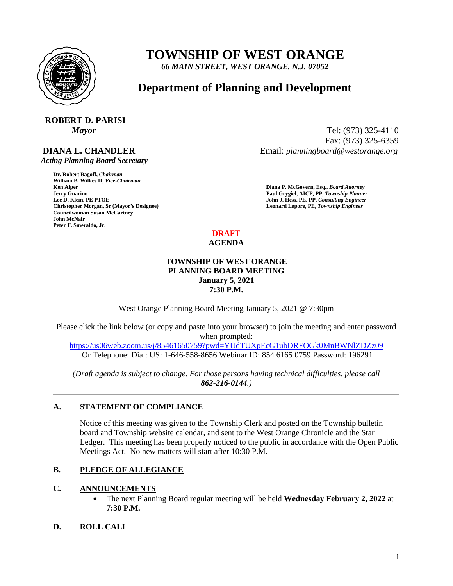

# **TOWNSHIP OF WEST ORANGE**

*66 MAIN STREET, WEST ORANGE, N.J. 07052*

## **Department of Planning and Development**

## **ROBERT D. PARISI**

## **DIANA L. CHANDLER**

 *Acting Planning Board Secretary*

**Dr. Robert Bagoff,** *Chairman*  **William B. Wilkes II,** *Vice-Chairman*  **Formula Guarino Paul Grygiel, AICP, PP,** *Township Planner* **<b>Lee D. Klein, PE PTOE Properties and** *John J. Hess, PE, PP, Consulting Engineer* **Christopher Morgan, Sr (Mayor's Designee) Leonard Lepore, PE,** *Township Engineer*  **Councilwoman Susan McCartney John McNair Peter F. Smeraldo, Jr.** 

*Mayor* Tel: (973) 325-4110 Fax: (973) 325-6359 Email: *planningboard@westorange.org*

> **Ken Alper****Diana P. McGovern, Esq.,** *Board Attorney*  **John J. Hess, PE, PP, Consulting Engineer**

#### **DRAFT AGENDA**

### **TOWNSHIP OF WEST ORANGE PLANNING BOARD MEETING January 5, 2021 7:30 P.M.**

West Orange Planning Board Meeting January 5, 2021 @ 7:30pm

Please click the link below (or copy and paste into your browser) to join the meeting and enter password when prompted: <https://us06web.zoom.us/j/85461650759?pwd=YUdTUXpEcG1ubDRFOGk0MnBWNlZDZz09>

Or Telephone: Dial: US: 1-646-558-8656 Webinar ID: 854 6165 0759 Password: 196291

*(Draft agenda is subject to change. For those persons having technical difficulties, please call 862-216-0144.)*

## **A. STATEMENT OF COMPLIANCE**

Notice of this meeting was given to the Township Clerk and posted on the Township bulletin board and Township website calendar, and sent to the West Orange Chronicle and the Star Ledger. This meeting has been properly noticed to the public in accordance with the Open Public Meetings Act. No new matters will start after 10:30 P.M.

## **B. PLEDGE OF ALLEGIANCE**

## **C. ANNOUNCEMENTS**

• The next Planning Board regular meeting will be held **Wednesday February 2, 2022** at **7:30 P.M.**

## **D. ROLL CALL**